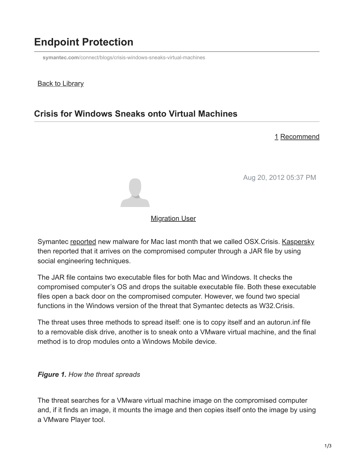# **Endpoint Protection**

**symantec.com**[/connect/blogs/crisis-windows-sneaks-virtual-machines](https://www.symantec.com/connect/blogs/crisis-windows-sneaks-virtual-machines)

#### **Back to Library**

## **Crisis for Windows Sneaks onto Virtual Machines**

#### 1 Recommend

Aug 20, 2012 05:37 PM



### **[Migration User](https://community.broadcom.com/symantecenterprise/network/members/profile?UserKey=909a8e41-f1e7-45af-914a-628128e3819f)**

Symantec [reported](https://community.broadcom.com/symantecenterprise/viewdocument?DocumentKey=9cd168c7-6a26-4909-8035-0b66d5815f03&CommunityKey=1ecf5f55-9545-44d6-b0f4-4e4a7f5f5e68&tab=librarydocuments) new malware for Mac last month that we called OSX.Crisis. [Kaspersky](http://www.securelist.com/en/blog/719/New_malware_for_Mac_Backdoor_OSX_Morcut) then reported that it arrives on the compromised computer through a JAR file by using social engineering techniques.

The JAR file contains two executable files for both Mac and Windows. It checks the compromised computer's OS and drops the suitable executable file. Both these executable files open a back door on the compromised computer. However, we found two special functions in the Windows version of the threat that Symantec detects as W32.Crisis.

The threat uses three methods to spread itself: one is to copy itself and an autorun.inf file to a removable disk drive, another is to sneak onto a VMware virtual machine, and the final method is to drop modules onto a Windows Mobile device.

### *Figure 1. How the threat spreads*

The threat searches for a VMware virtual machine image on the compromised computer and, if it finds an image, it mounts the image and then copies itself onto the image by using a VMware Player tool.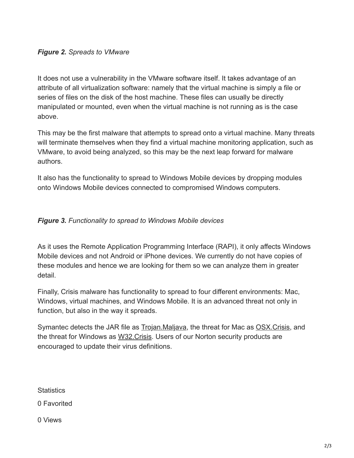#### *Figure 2. Spreads to VMware*

It does not use a vulnerability in the VMware software itself. It takes advantage of an attribute of all virtualization software: namely that the virtual machine is simply a file or series of files on the disk of the host machine. These files can usually be directly manipulated or mounted, even when the virtual machine is not running as is the case above.

This may be the first malware that attempts to spread onto a virtual machine. Many threats will terminate themselves when they find a virtual machine monitoring application, such as VMware, to avoid being analyzed, so this may be the next leap forward for malware authors.

It also has the functionality to spread to Windows Mobile devices by dropping modules onto Windows Mobile devices connected to compromised Windows computers.

#### *Figure 3. Functionality to spread to Windows Mobile devices*

As it uses the Remote Application Programming Interface (RAPI), it only affects Windows Mobile devices and not Android or iPhone devices. We currently do not have copies of these modules and hence we are looking for them so we can analyze them in greater detail.

Finally, Crisis malware has functionality to spread to four different environments: Mac, Windows, virtual machines, and Windows Mobile. It is an advanced threat not only in function, but also in the way it spreads.

Symantec detects the JAR file as **Trojan.Maljava**, the threat for Mac as **OSX.Crisis**, and the threat for Windows as [W32.Crisis](http://www.symantec.com/security_response/writeup.jsp?docid=2012-081606-2200-99). Users of our Norton security products are encouraged to update their virus definitions.

**Statistics** 

0 Favorited

0 Views